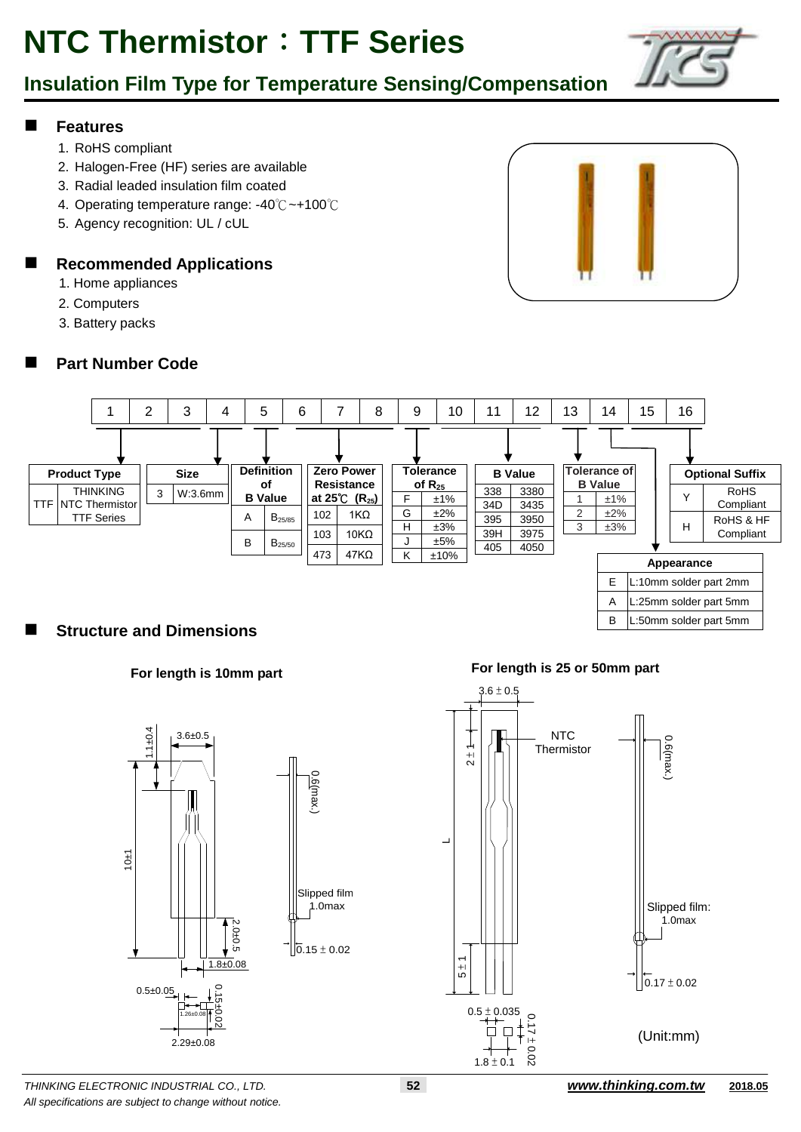

#### **Features**

- 1. RoHS compliant
- 2. Halogen-Free (HF) series are available
- 3. Radial leaded insulation film coated
- 4. Operating temperature range: -40℃~+100℃
- 5. Agency recognition: UL / cUL

#### **Recommended Applications**

- 1. Home appliances
- 2. Computers
- 3. Battery packs

### **Part Number Code**





#### **Structure and Dimensions**



**For length is 10mm part For length is 25 or 50mm part**

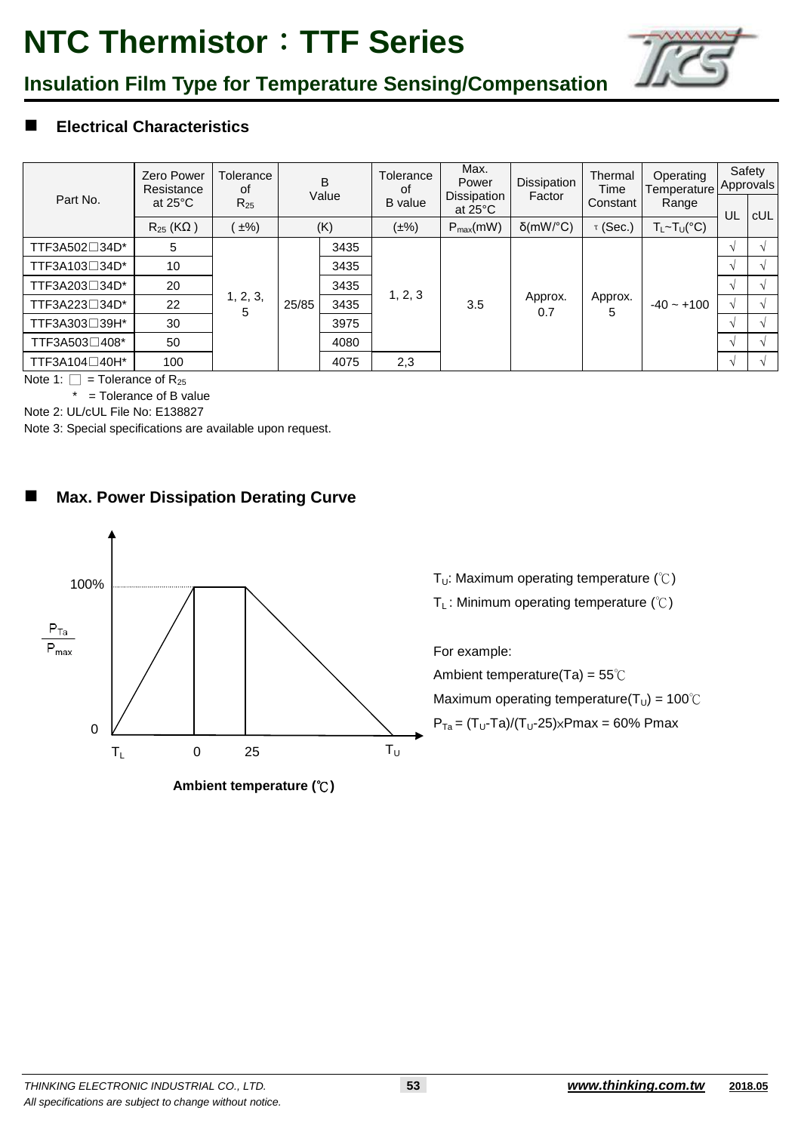

### **Insulation Film Type for Temperature Sensing/Compensation**

### **Electrical Characteristics**

| Part No.      | Zero Power<br>Resistance<br>at $25^{\circ}$ C | Tolerance<br>οf<br>$R_{25}$ | B<br>Value |      | Tolerance<br>0f<br><b>B</b> value | Max.<br>Power<br>Dissipation<br>at $25^{\circ}$ C | Dissipation<br>Factor | Thermal<br>Time<br>Constant | Operating<br>Temperature Approvals<br>Range |               | Safety |
|---------------|-----------------------------------------------|-----------------------------|------------|------|-----------------------------------|---------------------------------------------------|-----------------------|-----------------------------|---------------------------------------------|---------------|--------|
|               |                                               |                             |            |      |                                   |                                                   |                       |                             |                                             | UL            | cUL    |
|               | $R_{25}$ (KQ)                                 | $\pm\%$                     |            | (K)  | $(\pm\%)$                         | $P_{max}(mW)$                                     | $\delta$ (mW/°C)      | $\tau$ (Sec.)               | $T_L \sim T_U({}^{\circ}C)$                 |               |        |
| TTF3A502□34D* | 5                                             | 1, 2, 3,<br>5               | 25/85      | 3435 | 1, 2, 3<br>2,3                    | 3.5                                               | Approx.<br>0.7        | Approx.<br>5                | $-40 - +100$                                |               |        |
| TTF3A103□34D* | 10                                            |                             |            | 3435 |                                   |                                                   |                       |                             |                                             |               |        |
| TTF3A203□34D* | 20                                            |                             |            | 3435 |                                   |                                                   |                       |                             |                                             |               |        |
| TTF3A223□34D* | 22                                            |                             |            | 3435 |                                   |                                                   |                       |                             |                                             | $\mathcal{N}$ |        |
| TTF3A303□39H* | 30                                            |                             |            | 3975 |                                   |                                                   |                       |                             |                                             |               |        |
| TTF3A503□408* | 50                                            |                             |            | 4080 |                                   |                                                   |                       |                             |                                             |               |        |
| TTF3A104□40H* | 100                                           |                             |            | 4075 |                                   |                                                   |                       |                             |                                             |               |        |

Note 1:  $\Box$  = Tolerance of R<sub>25</sub>

 $*$  = Tolerance of B value

Note 2: UL/cUL File No: E138827

Note 3: Special specifications are available upon request.

### **Max. Power Dissipation Derating Curve**



**Ambient temperature (**℃**)**

T<sub>U</sub>: Maximum operating temperature  $(\degree C)$ 

T<sub>L</sub>: Minimum operating temperature  $(\mathcal{C})$ 

For example:

Ambient temperature(Ta) = 55℃ Maximum operating temperature( $T_U$ ) = 100°C  $P_{Ta} = (T_U-Ta)/(T_U-25) \times Pmax = 60\% Pmax$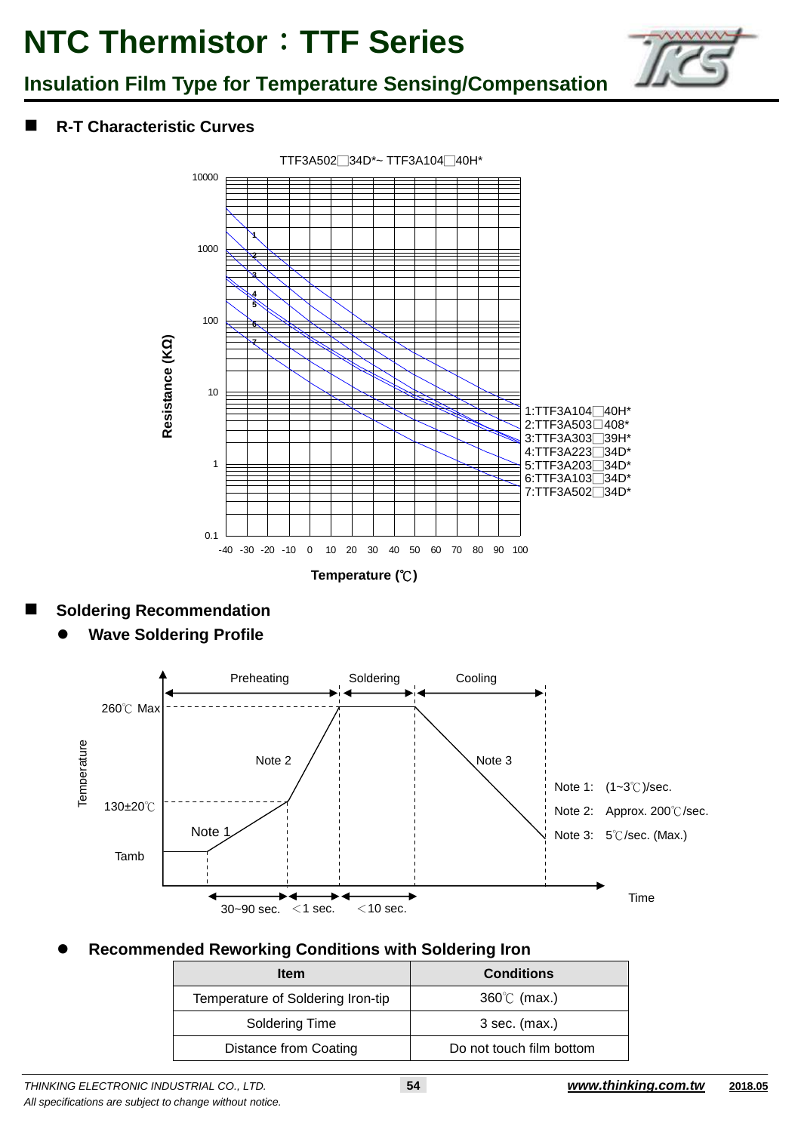

### **Insulation Film Type for Temperature Sensing/Compensation**

### **R-T Characteristic Curves**



### **Soldering Recommendation**

**Wave Soldering Profile**



### **Recommended Reworking Conditions with Soldering Iron**

| <b>Item</b>                       | <b>Conditions</b>        |
|-----------------------------------|--------------------------|
| Temperature of Soldering Iron-tip | $360^{\circ}$ (max.)     |
| Soldering Time                    | $3$ sec. (max.)          |
| Distance from Coating             | Do not touch film bottom |